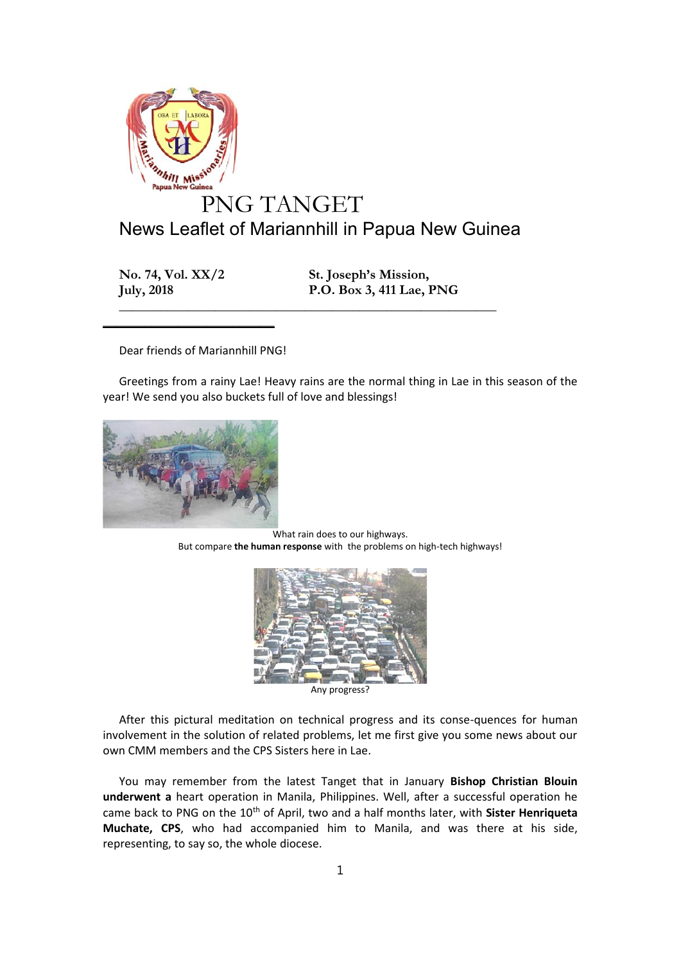

**No. 74, Vol. XX/2 St. Joseph's Mission, July, 2018 P.O. Box 3, 411 Lae, PNG**

Dear friends of Mariannhill PNG!

 $\frac{1}{2}$  , and the set of the set of the set of the set of the set of the set of the set of the set of the set of the set of the set of the set of the set of the set of the set of the set of the set of the set of the set

Greetings from a rainy Lae! Heavy rains are the normal thing in Lae in this season of the year! We send you also buckets full of love and blessings!

**\_\_\_\_\_\_\_\_\_\_\_\_\_\_\_\_\_\_\_\_\_\_\_\_\_\_\_\_\_\_\_\_\_\_\_\_\_\_\_\_\_\_\_\_\_\_\_\_\_\_\_\_\_\_\_**



What rain does to our highways. But compare **the human response** with the problems on high-tech highways!



Any progress?

After this pictural meditation on technical progress and its conse-quences for human involvement in the solution of related problems, let me first give you some news about our own CMM members and the CPS Sisters here in Lae.

You may remember from the latest Tanget that in January **Bishop Christian Blouin underwent a** heart operation in Manila, Philippines. Well, after a successful operation he came back to PNG on the 10<sup>th</sup> of April, two and a half months later, with **Sister Henriqueta Muchate, CPS**, who had accompanied him to Manila, and was there at his side, representing, to say so, the whole diocese.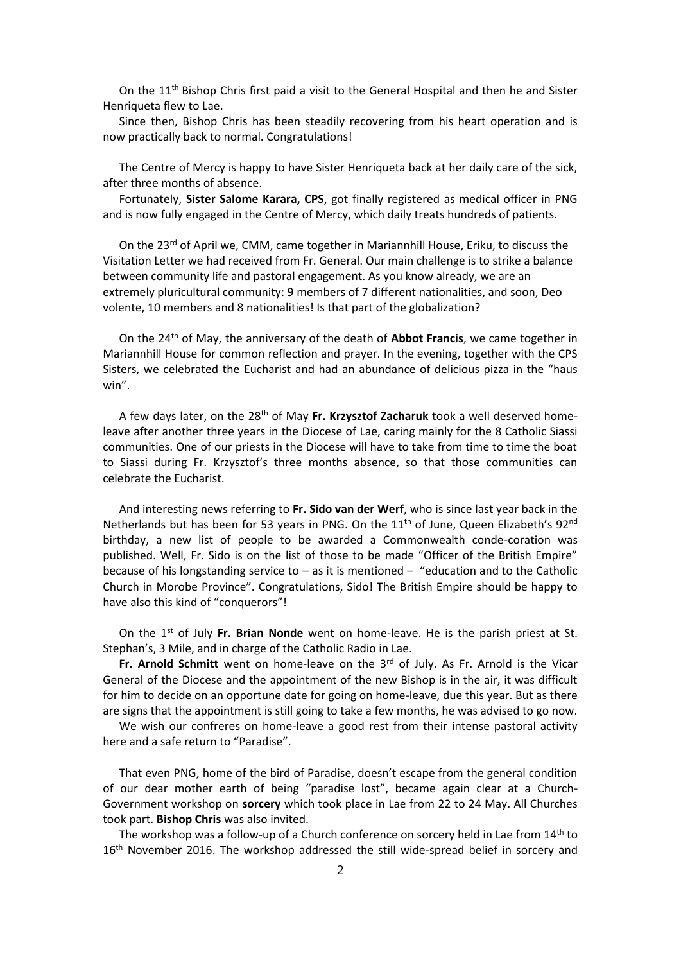On the  $11<sup>th</sup>$  Bishop Chris first paid a visit to the General Hospital and then he and Sister Henriqueta flew to Lae.

Since then, Bishop Chris has been steadily recovering from his heart operation and is now practically back to normal. Congratulations!

The Centre of Mercy is happy to have Sister Henriqueta back at her daily care of the sick, after three months of absence.

Fortunately, **Sister Salome Karara, CPS**, got finally registered as medical officer in PNG and is now fully engaged in the Centre of Mercy, which daily treats hundreds of patients.

On the  $23^{rd}$  of April we, CMM, came together in Mariannhill House, Eriku, to discuss the Visitation Letter we had received from Fr. General. Our main challenge is to strike a balance between community life and pastoral engagement. As you know already, we are an extremely pluricultural community: 9 members of 7 different nationalities, and soon, Deo volente, 10 members and 8 nationalities! Is that part of the globalization?

On the 24th of May, the anniversary of the death of **Abbot Francis**, we came together in Mariannhill House for common reflection and prayer. In the evening, together with the CPS Sisters, we celebrated the Eucharist and had an abundance of delicious pizza in the "haus win".

A few days later, on the 28th of May **Fr. Krzysztof Zacharuk** took a well deserved homeleave after another three years in the Diocese of Lae, caring mainly for the 8 Catholic Siassi communities. One of our priests in the Diocese will have to take from time to time the boat to Siassi during Fr. Krzysztof's three months absence, so that those communities can celebrate the Eucharist.

And interesting news referring to **Fr. Sido van der Werf**, who is since last year back in the Netherlands but has been for 53 years in PNG. On the 11<sup>th</sup> of June, Queen Elizabeth's 92<sup>nd</sup> birthday, a new list of people to be awarded a Commonwealth conde-coration was published. Well, Fr. Sido is on the list of those to be made "Officer of the British Empire" because of his longstanding service to – as it is mentioned – "education and to the Catholic Church in Morobe Province". Congratulations, Sido! The British Empire should be happy to have also this kind of "conquerors"!

On the 1st of July **Fr. Brian Nonde** went on home-leave. He is the parish priest at St. Stephan's, 3 Mile, and in charge of the Catholic Radio in Lae.

**Fr. Arnold Schmitt** went on home-leave on the 3rd of July. As Fr. Arnold is the Vicar General of the Diocese and the appointment of the new Bishop is in the air, it was difficult for him to decide on an opportune date for going on home-leave, due this year. But as there are signs that the appointment is still going to take a few months, he was advised to go now.

We wish our confreres on home-leave a good rest from their intense pastoral activity here and a safe return to "Paradise".

That even PNG, home of the bird of Paradise, doesn't escape from the general condition of our dear mother earth of being "paradise lost", became again clear at a Church- Government workshop on **sorcery** which took place in Lae from 22 to 24 May. All Churches took part. **Bishop Chris** was also invited.

The workshop was a follow-up of a Church conference on sorcery held in Lae from 14th to 16<sup>th</sup> November 2016. The workshop addressed the still wide-spread belief in sorcery and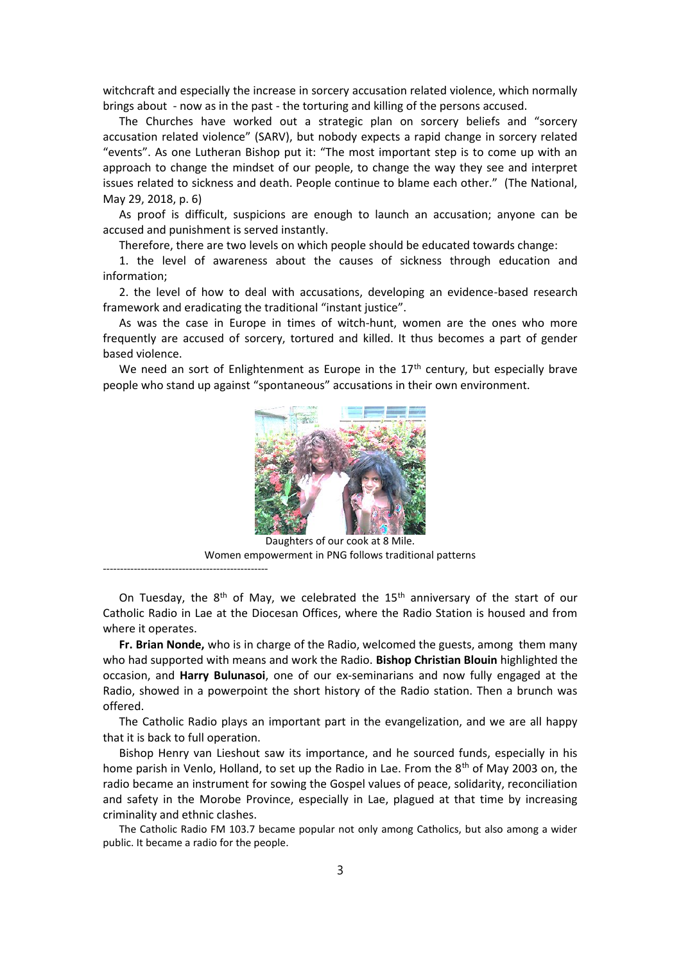witchcraft and especially the increase in sorcery accusation related violence, which normally brings about - now as in the past - the torturing and killing of the persons accused.

The Churches have worked out a strategic plan on sorcery beliefs and "sorcery accusation related violence" (SARV), but nobody expects a rapid change in sorcery related "events". As one Lutheran Bishop put it: "The most important step is to come up with an approach to change the mindset of our people, to change the way they see and interpret issues related to sickness and death. People continue to blame each other." (The National, May 29, 2018, p. 6)

As proof is difficult, suspicions are enough to launch an accusation; anyone can be accused and punishment is served instantly.

Therefore, there are two levels on which people should be educated towards change:

1. the level of awareness about the causes of sickness through education and information;

2. the level of how to deal with accusations, developing an evidence-based research framework and eradicating the traditional "instant justice".

As was the case in Europe in times of witch-hunt, women are the ones who more frequently are accused of sorcery, tortured and killed. It thus becomes a part of gender based violence.

We need an sort of Enlightenment as Europe in the  $17<sup>th</sup>$  century, but especially brave people who stand up against "spontaneous" accusations in their own environment.



Daughters of our cook at 8 Mile. Women empowerment in PNG follows traditional patterns

------------------------------------------------

On Tuesday, the  $8<sup>th</sup>$  of May, we celebrated the  $15<sup>th</sup>$  anniversary of the start of our Catholic Radio in Lae at the Diocesan Offices, where the Radio Station is housed and from where it operates.

**Fr. Brian Nonde,** who is in charge of the Radio, welcomed the guests, among them many who had supported with means and work the Radio. **Bishop Christian Blouin** highlighted the occasion, and **Harry Bulunasoi**, one of our ex-seminarians and now fully engaged at the Radio, showed in a powerpoint the short history of the Radio station. Then a brunch was offered.

The Catholic Radio plays an important part in the evangelization, and we are all happy that it is back to full operation.

Bishop Henry van Lieshout saw its importance, and he sourced funds, especially in his home parish in Venlo, Holland, to set up the Radio in Lae. From the 8<sup>th</sup> of May 2003 on, the radio became an instrument for sowing the Gospel values of peace, solidarity, reconciliation and safety in the Morobe Province, especially in Lae, plagued at that time by increasing criminality and ethnic clashes.

The Catholic Radio FM 103.7 became popular not only among Catholics, but also among a wider public. It became a radio for the people.